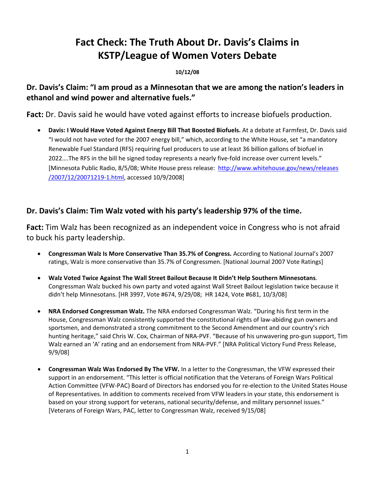# **Fact Check: The Truth About Dr. Davis's Claims in KSTP/League of Women Voters Debate**

#### **10/12/08**

**Dr. Davis's Claim: "I am proud as a Minnesotan that we are among the nation's leaders in ethanol and wind power and alternative fuels."**

**Fact:** Dr. Davis said he would have voted against efforts to increase biofuels production.

• **Davis: I Would Have Voted Against Energy Bill That Boosted Biofuels.** At a debate at Farmfest, Dr. Davis said "I would not have voted for the 2007 energy bill," which, according to the White House, set "a mandatory Renewable Fuel Standard (RFS) requiring fuel producers to use at least 36 billion gallons of biofuel in 2022….The RFS in the bill he signed today represents a nearly five-fold increase over current levels." [Minnesota Public Radio, 8/5/08; White House press release: [http://www.whitehouse.gov/news/releases](http://www.whitehouse.gov/news/releases%20/2007/12/20071219-1.html) [/2007/12/20071219](http://www.whitehouse.gov/news/releases%20/2007/12/20071219-1.html)‐1.html, accessed 10/9/2008]

# **Dr. Davis's Claim: Tim Walz voted with his party's leadership 97% of the time.**

**Fact:** Tim Walz has been recognized as an independent voice in Congress who is not afraid to buck his party leadership.

- **Congressman Walz Is More Conservative Than 35.7% of Congress.** According to National Journal's 2007 ratings, Walz is more conservative than 35.7% of Congressmen. [National Journal 2007 Vote Ratings]
- **Walz Voted Twice Against The Wall Street Bailout Because It Didn't Help Southern Minnesotans**. Congressman Walz bucked his own party and voted against Wall Street Bailout legislation twice because it didn't help Minnesotans. [HR 3997, Vote #674, 9/29/08; HR 1424, Vote #681, 10/3/08]
- **NRA Endorsed Congressman Walz.** The NRA endorsed Congressman Walz. "During his first term in the House, Congressman Walz consistently supported the constitutional rights of law-abiding gun owners and sportsmen, and demonstrated a strong commitment to the Second Amendment and our country's rich hunting heritage," said Chris W. Cox, Chairman of NRA-PVF. "Because of his unwavering pro-gun support, Tim Walz earned an 'A' rating and an endorsement from NRA‐PVF." [NRA Political Victory Fund Press Release, [9/9/08](http://www.nrapvf.org/news/Read.aspx?ID=11512&T=1)]
- **Congressman Walz Was Endorsed By The VFW.** In a letter to the Congressman, the VFW expressed their support in an endorsement. "This letter is official notification that the Veterans of Foreign Wars Political Action Committee (VFW‐PAC) Board of Directors has endorsed you for re‐election to the United States House of Representatives. In addition to comments received from VFW leaders in your state, this endorsement is based on your strong support for veterans, national security/defense, and military personnel issues." [Veterans of Foreign Wars, PAC, letter to Congressman Walz, received 9/15/08]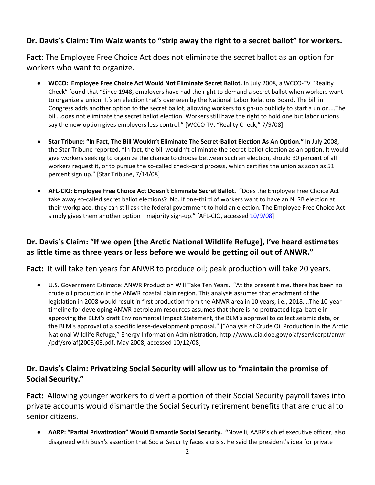# **Dr. Davis's Claim: Tim Walz wants to "strip away the right to a secret ballot" for workers.**

**Fact:** The Employee Free Choice Act does not eliminate the secret ballot as an option for workers who want to organize.

- **WCCO: Employee Free Choice Act Would Not Eliminate Secret Ballot.** In July 2008, a WCCO‐TV "Reality Check" found that "Since 1948, employers have had the right to demand a secret ballot when workers want to organize a union. It's an election that's overseen by the National Labor Relations Board. The bill in Congress adds another option to the secret ballot, allowing workers to sign‐up publicly to start a union….The bill…does not eliminate the secret ballot election. Workers still have the right to hold one but labor unions say the new option gives employers less control." [WCCO TV, "Reality Check," 7/9/08]
- **Star Tribune: "In Fact, The Bill Wouldn't Eliminate The Secret‐Ballot Election As An Option."** In July 2008, the Star Tribune reported, "In fact, the bill wouldn't eliminate the secret-ballot election as an option. It would give workers seeking to organize the chance to choose between such an election, should 30 percent of all workers request it, or to pursue the so-called check-card process, which certifies the union as soon as 51 percent sign up." [Star Tribune, 7/14/08]
- **AFL‐CIO: Employee Free Choice Act Doesn't Eliminate Secret Ballot.** "Does the Employee Free Choice Act take away so-called secret ballot elections? No. If one-third of workers want to have an NLRB election at their workplace, they can still ask the federal government to hold an election. The Employee Free Choice Act simply gives them another option—majority sign-up." [AFL-CIO, accessed [10/9/08](http://www.aflcio.org/joinaunion/voiceatwork/efca/qna.cfm)]

# **Dr. Davis's Claim: "If we open [the Arctic National Wildlife Refuge], I've heard estimates as little time as three years or less before we would be getting oil out of ANWR."**

**Fact:** It will take ten years for ANWR to produce oil; peak production will take 20 years. 

• U.S. [Government](http://www.eia.doe.gov/oiaf/servicerpt%20%20/anwr%20/pdf/sroiaf(2008)03.pdf) Estimate: ANWR Production Will Take Ten Years. "At the present time, there has been no crude oil [production](http://www.eia.doe.gov/oiaf/servicerpt%20%20/anwr%20/pdf/sroiaf(2008)03.pdf) in the ANWR coastal plain region. This analysis assumes that enactment of the legislation in 2008 would result in first [production](http://www.eia.doe.gov/oiaf/servicerpt%20%20/anwr%20/pdf/sroiaf(2008)03.pdf) from the ANWR area in 10 years, i.e., 2018….The 10‐year timeline for [developing](http://www.eia.doe.gov/oiaf/servicerpt%20%20/anwr%20/pdf/sroiaf(2008)03.pdf) ANWR petroleum resources assumes that there is no protracted legal battle in approving the BLM's draft [Environmental](http://www.eia.doe.gov/oiaf/servicerpt%20%20/anwr%20/pdf/sroiaf(2008)03.pdf) Impact Statement, the BLM's approval to collect seismic data, or the BLM's approval of a specific lease‐[development](http://www.eia.doe.gov/oiaf/servicerpt%20%20/anwr%20/pdf/sroiaf(2008)03.pdf) proposal." ["Analysis of Crude Oil Production in the Arctic National Wildlife Refuge," Energy Information Administration, [http://www.eia.doe.gov/oiaf/servicerpt/anwr](http://www.eia.doe.gov/oiaf/servicerpt%20%20/anwr%20/pdf/sroiaf(2008)03.pdf) [/pdf/sroiaf\(2008\)03.pdf](http://www.eia.doe.gov/oiaf/servicerpt%20%20/anwr%20/pdf/sroiaf(2008)03.pdf), May 2008, accessed 10/12/08]

# **Dr. Davis's Claim: Privatizing Social Security will allow us to "maintain the promise of Social Security."**

**Fact:** Allowing younger workers to divert a portion of their Social Security payroll taxes into private accounts would dismantle the Social Security retirement benefits that are crucial to senior citizens.

• **AARP: "Partial Privatization" Would Dismantle Social Security. "**Novelli, AARP's chief executive officer, also disagreed with Bush's assertion that Social Security faces a crisis. He said the president's idea for private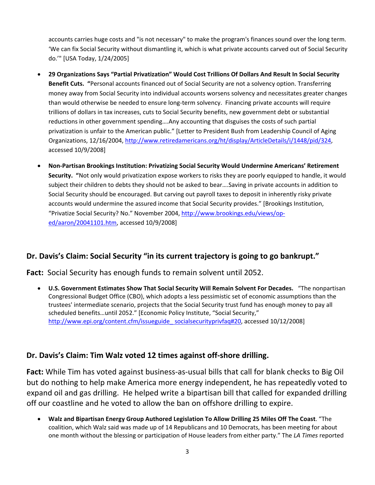accounts carries huge costs and "is not necessary" to make the program's finances sound over the long term. 'We can fix Social Security without dismantling it, which is what private accounts carved out of Social Security do.'" [USA Today, 1/24/2005]

- **29 Organizations Says "Partial Privatization" Would Cost Trillions Of Dollars And Result In Social Security Benefit Cuts. "**Personal accounts financed out of Social Security are not a solvency option. Transferring money away from Social Security into individual accounts worsens solvency and necessitates greater changes than would otherwise be needed to ensure long-term solvency. Financing private accounts will require trillions of dollars in tax increases, cuts to Social Security benefits, new government debt or substantial reductions in other government spending….Any accounting that disguises the costs of such partial privatization is unfair to the American public." [Letter to President Bush from Leadership Council of Aging Organizations, 12/16/2004, [http://www.retiredamericans.org/ht/display/ArticleDetails/i/1448/pid/324,](http://www.retiredamericans.org/ht/display/ArticleDetails/i/1448/pid/324) accessed 10/9/2008]
- **Non‐Partisan Brookings Institution: Privatizing Social Security Would Undermine Americans' Retirement Security. "**Not only would privatization expose workers to risks they are poorly equipped to handle, it would subject their children to debts they should not be asked to bear….Saving in private accounts in addition to Social Security should be encouraged. But carving out payroll taxes to deposit in inherently risky private accounts would undermine the assured income that Social Security provides." [Brookings Institution, "Privatize Social Security? No." November 2004, [http://www.brookings.edu/views/op](http://www.brookings.edu/views/op-ed/aaron/20041101.htm)‐ [ed/aaron/20041101.htm,](http://www.brookings.edu/views/op-ed/aaron/20041101.htm) accessed 10/9/2008]

### **Dr. Davis's Claim: Social Security "in its current trajectory is going to go bankrupt."**

**Fact:** Social Security has enough funds to remain solvent until 2052.

• **U.S. Government Estimates Show That Social Security Will Remain Solvent For Decades.** "The nonpartisan Congressional Budget Office (CBO), which adopts a less pessimistic set of economic assumptions than the trustees' intermediate scenario, projects that the Social Security trust fund has enough money to pay all scheduled benefits…until 2052." [Economic Policy Institute, "Social Security," [http://www.epi.org/content.cfm/issueguide\\_](http://www.epi.org/content.cfm/issueguide_ socialsecurityprivfaq#20)socialsecurityprivfaq#20, accessed 10/12/2008]

### **Dr. Davis's Claim: Tim Walz voted 12 times against off‐shore drilling.**

**Fact:** While Tim has voted against business‐as‐usual bills that call for blank checks to Big Oil but do nothing to help make America more energy independent, he has repeatedly voted to expand oil and gas drilling. He helped write a bipartisan bill that called for expanded drilling off our coastline and he voted to allow the ban on offshore drilling to expire.

• **Walz and Bipartisan Energy Group Authored Legislation To Allow Drilling 25 Miles Off The Coast**. "The coalition, which Walz said was made up of 14 Republicans and 10 Democrats, has been meeting for about one month without the blessing or participation of House leaders from either party." The *LA Times* reported